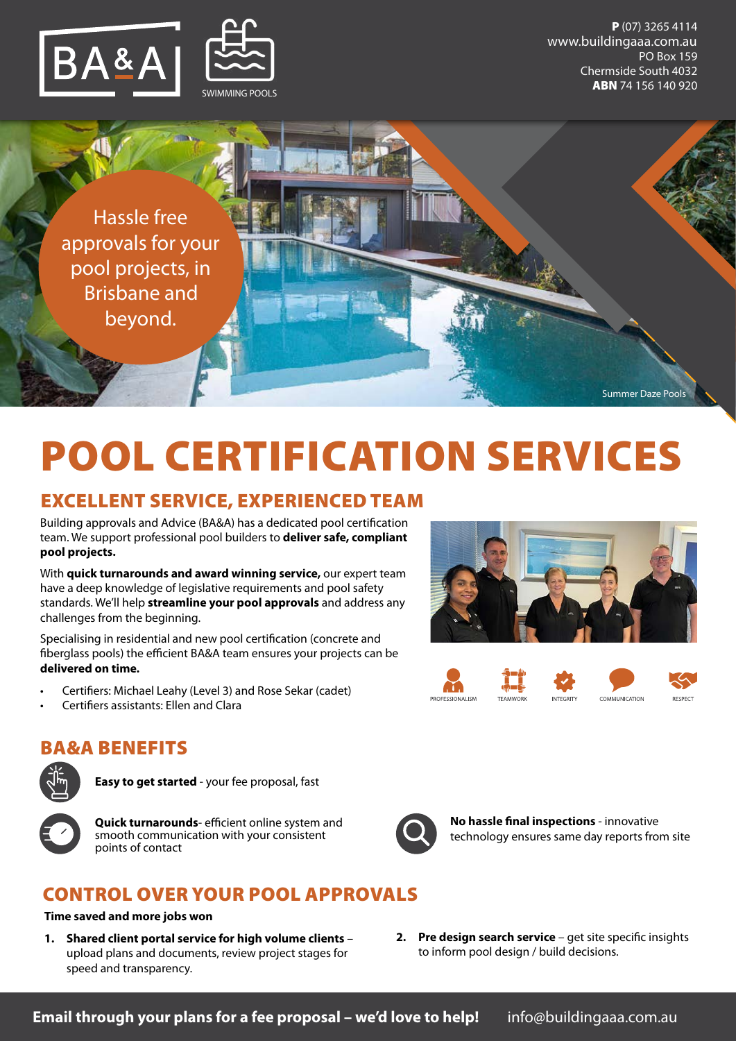

P (07) 3265 4114 PO Box 159 Chermside South 4032 ABN 74 156 140 920 www.buildingaaa.com.au

Summer Daze Pools

Hassle free approvals for your pool projects, in Brisbane and beyond.

# POOL CERTIFICATION SERVICES

## EXCELLENT SERVICE, EXPERIENCED TEAM

Building approvals and Advice (BA&A) has a dedicated pool certification team. We support professional pool builders to **deliver safe, compliant pool projects.** 

With **quick turnarounds and award winning service,** our expert team have a deep knowledge of legislative requirements and pool safety standards. We'll help **streamline your pool approvals** and address any challenges from the beginning.

Specialising in residential and new pool certification (concrete and fiberglass pools) the efficient BA&A team ensures your projects can be **delivered on time.**

- Certifiers: Michael Leahy (Level 3) and Rose Sekar (cadet)
- Certifiers assistants: Ellen and Clara



**INTEGRITY** 



COMMUNICATION



### BA&A BENEFITS

| ûΪ |
|----|
|----|

**Easy to get started** - your fee proposal, fast



**Quick turnarounds**- efficient online system and smooth communication with your consistent points of contact

## CONTROL OVER YOUR POOL APPROVALS

#### **Time saved and more jobs won**

- **1. Shared client portal service for high volume clients** upload plans and documents, review project stages for speed and transparency.
- 

**No hassle final inspections** - innovative technology ensures same day reports from site

**2. Pre design search service** – get site specific insights to inform pool design / build decisions.